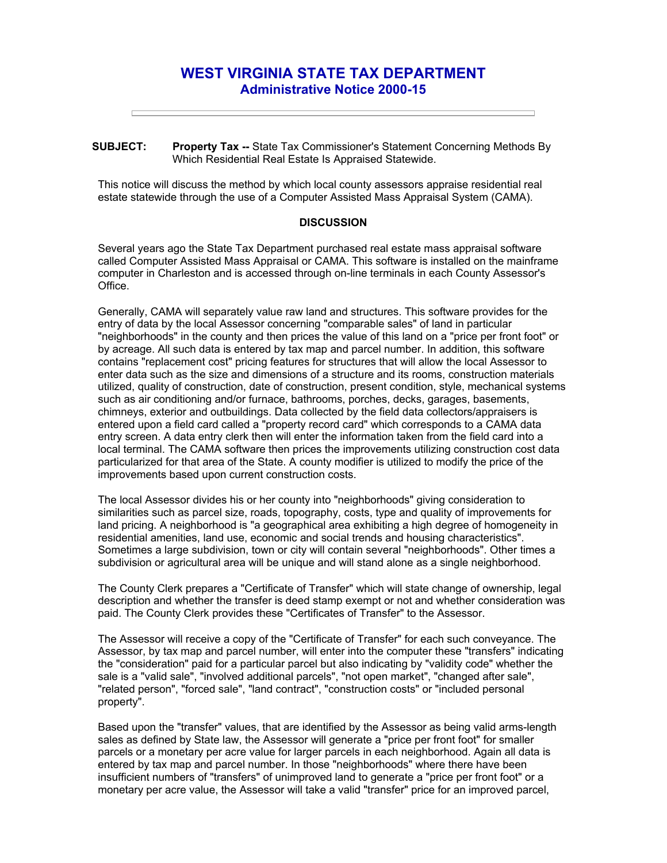## **WEST VIRGINIA STATE TAX DEPARTMENT Administrative Notice 2000-15**

**SUBJECT: Property Tax --** State Tax Commissioner's Statement Concerning Methods By Which Residential Real Estate Is Appraised Statewide.

This notice will discuss the method by which local county assessors appraise residential real estate statewide through the use of a Computer Assisted Mass Appraisal System (CAMA).

## **DISCUSSION**

Several years ago the State Tax Department purchased real estate mass appraisal software called Computer Assisted Mass Appraisal or CAMA. This software is installed on the mainframe computer in Charleston and is accessed through on-line terminals in each County Assessor's Office.

Generally, CAMA will separately value raw land and structures. This software provides for the entry of data by the local Assessor concerning "comparable sales" of land in particular "neighborhoods" in the county and then prices the value of this land on a "price per front foot" or by acreage. All such data is entered by tax map and parcel number. In addition, this software contains "replacement cost" pricing features for structures that will allow the local Assessor to enter data such as the size and dimensions of a structure and its rooms, construction materials utilized, quality of construction, date of construction, present condition, style, mechanical systems such as air conditioning and/or furnace, bathrooms, porches, decks, garages, basements, chimneys, exterior and outbuildings. Data collected by the field data collectors/appraisers is entered upon a field card called a "property record card" which corresponds to a CAMA data entry screen. A data entry clerk then will enter the information taken from the field card into a local terminal. The CAMA software then prices the improvements utilizing construction cost data particularized for that area of the State. A county modifier is utilized to modify the price of the improvements based upon current construction costs.

The local Assessor divides his or her county into "neighborhoods" giving consideration to similarities such as parcel size, roads, topography, costs, type and quality of improvements for land pricing. A neighborhood is "a geographical area exhibiting a high degree of homogeneity in residential amenities, land use, economic and social trends and housing characteristics". Sometimes a large subdivision, town or city will contain several "neighborhoods". Other times a subdivision or agricultural area will be unique and will stand alone as a single neighborhood.

The County Clerk prepares a "Certificate of Transfer" which will state change of ownership, legal description and whether the transfer is deed stamp exempt or not and whether consideration was paid. The County Clerk provides these "Certificates of Transfer" to the Assessor.

The Assessor will receive a copy of the "Certificate of Transfer" for each such conveyance. The Assessor, by tax map and parcel number, will enter into the computer these "transfers" indicating the "consideration" paid for a particular parcel but also indicating by "validity code" whether the sale is a "valid sale", "involved additional parcels", "not open market", "changed after sale", "related person", "forced sale", "land contract", "construction costs" or "included personal property".

Based upon the "transfer" values, that are identified by the Assessor as being valid arms-length sales as defined by State law, the Assessor will generate a "price per front foot" for smaller parcels or a monetary per acre value for larger parcels in each neighborhood. Again all data is entered by tax map and parcel number. In those "neighborhoods" where there have been insufficient numbers of "transfers" of unimproved land to generate a "price per front foot" or a monetary per acre value, the Assessor will take a valid "transfer" price for an improved parcel,